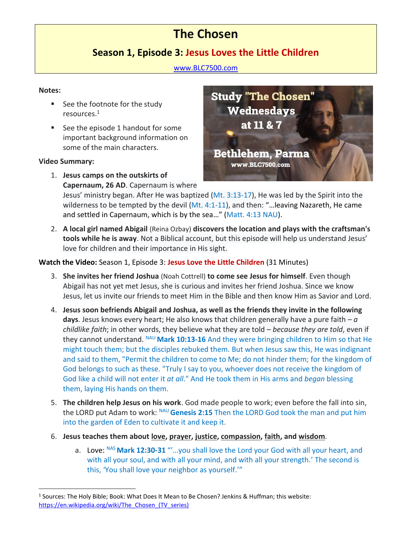# **The Chosen**

# **Season 1, Episode 3: Jesus Loves the Little Children**

### [www.BLC7500.com](http://www.blc7500.com/)

# **Notes:**

- See the footnote for the study resources.<sup>1</sup>
- See the episode 1 handout for some important background information on some of the main characters.

# **Video Summary:**

1. **Jesus camps on the outskirts of Capernaum, 26 AD**. Capernaum is where



Jesus' ministry began. After He was baptized (Mt. 3:13-17), He was led by the Spirit into the wilderness to be tempted by the devil (Mt. 4:1-11), and then: "...leaving Nazareth, He came and settled in Capernaum, which is by the sea…" (Matt. 4:13 NAU).

2. **A local girl named Abigail** (Reina Ozbay) **discovers the location and plays with the craftsman's tools while he is away**. Not a Biblical account, but this episode will help us understand Jesus' love for children and their importance in His sight.

# **Watch the Video:** Season 1, Episode 3: **Jesus Love the Little Children** (31 Minutes)

- 3. **She invites her friend Joshua** (Noah Cottrell) **to come see Jesus for himself**. Even though Abigail has not yet met Jesus, she is curious and invites her friend Joshua. Since we know Jesus, let us invite our friends to meet Him in the Bible and then know Him as Savior and Lord.
- 4. **Jesus soon befriends Abigail and Joshua, as well as the friends they invite in the following days**. Jesus knows every heart; He also knows that children generally have a pure faith – *a childlike faith*; in other words, they believe what they are told – *because they are told*, even if they cannot understand. NAU **Mark 10:13-16** And they were bringing children to Him so that He might touch them; but the disciples rebuked them. But when Jesus saw this, He was indignant and said to them, "Permit the children to come to Me; do not hinder them; for the kingdom of God belongs to such as these. "Truly I say to you, whoever does not receive the kingdom of God like a child will not enter it *at all*." And He took them in His arms and *began* blessing them, laying His hands on them.
- 5. **The children help Jesus on his work**. God made people to work; even before the fall into sin, the LORD put Adam to work: NAU **Genesis 2:15** Then the LORD God took the man and put him into the garden of Eden to cultivate it and keep it.
- 6. **Jesus teaches them about love, prayer, justice, compassion, faith, and wisdom**.
	- a. Love: <sup>NAS</sup> Mark 12:30-31 "'...you shall love the Lord your God with all your heart, and with all your soul, and with all your mind, and with all your strength.' The second is this, 'You shall love your neighbor as yourself.'"

<sup>&</sup>lt;sup>1</sup> Sources: The Holy Bible; Book: What Does It Mean to Be Chosen? Jenkins & Huffman; this website: https://en.wikipedia.org/wiki/The Chosen (TV series)